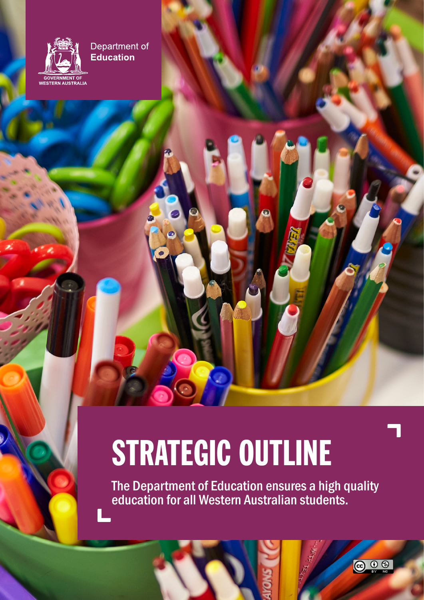

 $\mathbf{Q}$ 

Department of Education

# STRATEGIC OUTLINE

The Department of Education ensures a high quality education for all Western Australian students.

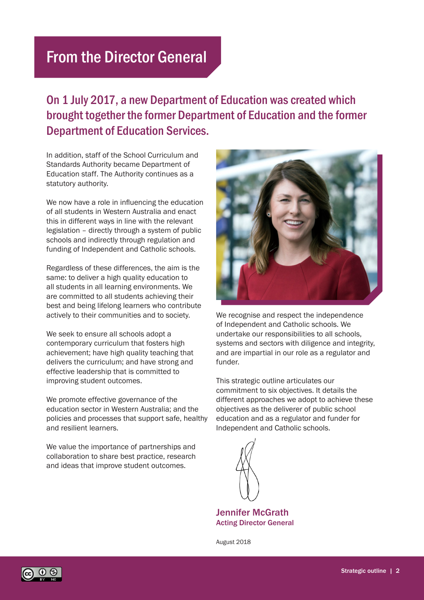## From the Director General

### On 1 July 2017, a new Department of Education was created which brought together the former Department of Education and the former Department of Education Services.

In addition, staff of the School Curriculum and Standards Authority became Department of Education staff. The Authority continues as a statutory authority.

We now have a role in influencing the education of all students in Western Australia and enact this in different ways in line with the relevant legislation – directly through a system of public schools and indirectly through regulation and funding of Independent and Catholic schools.

Regardless of these differences, the aim is the same: to deliver a high quality education to all students in all learning environments. We are committed to all students achieving their best and being lifelong learners who contribute actively to their communities and to society.

We seek to ensure all schools adopt a contemporary curriculum that fosters high achievement; have high quality teaching that delivers the curriculum; and have strong and effective leadership that is committed to improving student outcomes.

We promote effective governance of the education sector in Western Australia; and the policies and processes that support safe, healthy and resilient learners.

We value the importance of partnerships and collaboration to share best practice, research and ideas that improve student outcomes.



We recognise and respect the independence of Independent and Catholic schools. We undertake our responsibilities to all schools, systems and sectors with diligence and integrity, and are impartial in our role as a regulator and funder.

This strategic outline articulates our commitment to six objectives. It details the different approaches we adopt to achieve these objectives as the deliverer of public school education and as a regulator and funder for Independent and Catholic schools.



Jennifer McGrath Acting Director General

August 2018

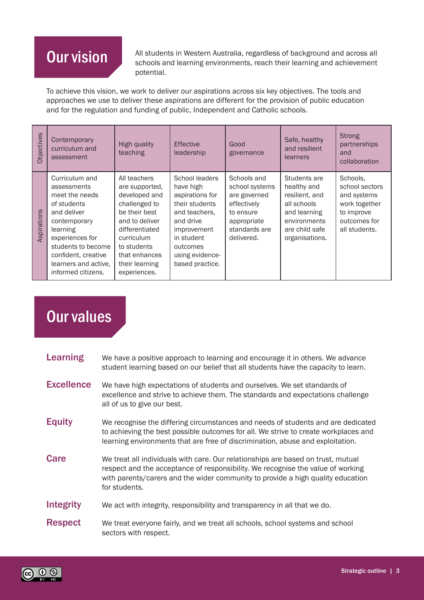## Our vision

All students in Western Australia, regardless of background and across all schools and learning environments, reach their learning and achievement potential.

To achieve this vision, we work to deliver our aspirations across six key objectives. The tools and approaches we use to deliver these aspirations are different for the provision of public education and for the regulation and funding of public, Independent and Catholic schools.

| <b>Objectives</b> | Contemporary<br>curriculum and<br>assessment                                                                                                                                                                            | High quality<br>teaching                                                                                                                                                                              | <b>Effective</b><br>leadership                                                                                                                                                | Good<br>governance                                                                                                      | Safe, healthy<br>and resilient<br>learners                                                                                       | <b>Strong</b><br>partnerships<br>and<br>collaboration                                                     |
|-------------------|-------------------------------------------------------------------------------------------------------------------------------------------------------------------------------------------------------------------------|-------------------------------------------------------------------------------------------------------------------------------------------------------------------------------------------------------|-------------------------------------------------------------------------------------------------------------------------------------------------------------------------------|-------------------------------------------------------------------------------------------------------------------------|----------------------------------------------------------------------------------------------------------------------------------|-----------------------------------------------------------------------------------------------------------|
| Aspirations       | Curriculum and<br>assessments<br>meet the needs<br>of students<br>and deliver<br>contemporary<br>learning<br>experiences for<br>students to become<br>confident, creative<br>learners and active.<br>informed citizens. | All teachers<br>are supported,<br>developed and<br>challenged to<br>be their best<br>and to deliver<br>differentiated<br>curriculum<br>to students<br>that enhances<br>their learning<br>experiences. | School leaders<br>have high<br>aspirations for<br>their students<br>and teachers.<br>and drive<br>improvement<br>in student<br>outcomes<br>using evidence-<br>based practice. | Schools and<br>school systems<br>are governed<br>effectively<br>to ensure<br>appropriate<br>standards are<br>delivered. | Students are<br>healthy and<br>resilient, and<br>all schools<br>and learning<br>environments<br>are child safe<br>organisations. | Schools.<br>school sectors<br>and systems<br>work together<br>to improve<br>outcomes for<br>all students. |

## Our values

| <b>Learning</b>   | We have a positive approach to learning and encourage it in others. We advance<br>student learning based on our belief that all students have the capacity to learn.                                                                                                    |
|-------------------|-------------------------------------------------------------------------------------------------------------------------------------------------------------------------------------------------------------------------------------------------------------------------|
| <b>Excellence</b> | We have high expectations of students and ourselves. We set standards of<br>excellence and strive to achieve them. The standards and expectations challenge<br>all of us to give our best.                                                                              |
| <b>Equity</b>     | We recognise the differing circumstances and needs of students and are dedicated<br>to achieving the best possible outcomes for all. We strive to create workplaces and<br>learning environments that are free of discrimination, abuse and exploitation.               |
| <b>Care</b>       | We treat all individuals with care. Our relationships are based on trust, mutual<br>respect and the acceptance of responsibility. We recognise the value of working<br>with parents/carers and the wider community to provide a high quality education<br>for students. |
| Integrity         | We act with integrity, responsibility and transparency in all that we do.                                                                                                                                                                                               |
| <b>Respect</b>    | We treat everyone fairly, and we treat all schools, school systems and school<br>sectors with respect.                                                                                                                                                                  |

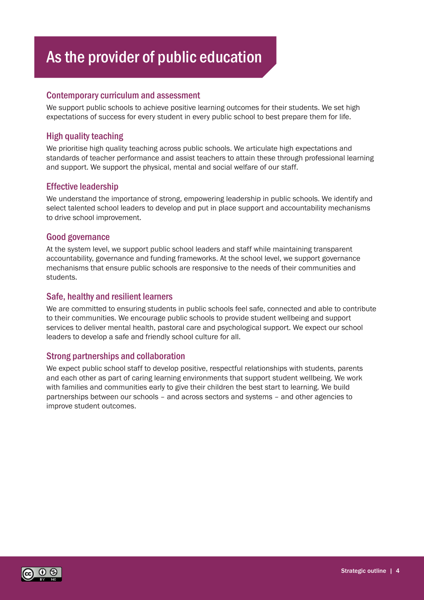## As the provider of public education

#### Contemporary curriculum and assessment

We support public schools to achieve positive learning outcomes for their students. We set high expectations of success for every student in every public school to best prepare them for life.

#### High quality teaching

We prioritise high quality teaching across public schools. We articulate high expectations and standards of teacher performance and assist teachers to attain these through professional learning and support. We support the physical, mental and social welfare of our staff.

#### Effective leadership

We understand the importance of strong, empowering leadership in public schools. We identify and select talented school leaders to develop and put in place support and accountability mechanisms to drive school improvement.

#### Good governance

At the system level, we support public school leaders and staff while maintaining transparent accountability, governance and funding frameworks. At the school level, we support governance mechanisms that ensure public schools are responsive to the needs of their communities and students.

#### Safe, healthy and resilient learners

We are committed to ensuring students in public schools feel safe, connected and able to contribute to their communities. We encourage public schools to provide student wellbeing and support services to deliver mental health, pastoral care and psychological support. We expect our school leaders to develop a safe and friendly school culture for all.

#### Strong partnerships and collaboration

We expect public school staff to develop positive, respectful relationships with students, parents and each other as part of caring learning environments that support student wellbeing. We work with families and communities early to give their children the best start to learning. We build partnerships between our schools – and across sectors and systems – and other agencies to improve student outcomes.

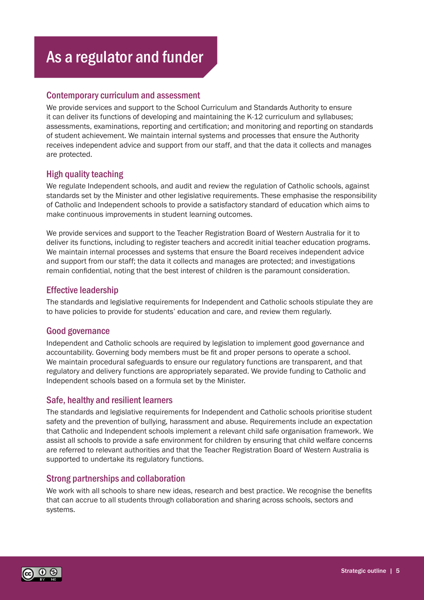## As a regulator and funder

#### Contemporary curriculum and assessment

We provide services and support to the School Curriculum and Standards Authority to ensure it can deliver its functions of developing and maintaining the K-12 curriculum and syllabuses; assessments, examinations, reporting and certification; and monitoring and reporting on standards of student achievement. We maintain internal systems and processes that ensure the Authority receives independent advice and support from our staff, and that the data it collects and manages are protected.

#### High quality teaching

We regulate Independent schools, and audit and review the regulation of Catholic schools, against standards set by the Minister and other legislative requirements. These emphasise the responsibility of Catholic and Independent schools to provide a satisfactory standard of education which aims to make continuous improvements in student learning outcomes.

We provide services and support to the Teacher Registration Board of Western Australia for it to deliver its functions, including to register teachers and accredit initial teacher education programs. We maintain internal processes and systems that ensure the Board receives independent advice and support from our staff; the data it collects and manages are protected; and investigations remain confidential, noting that the best interest of children is the paramount consideration.

#### Effective leadership

The standards and legislative requirements for Independent and Catholic schools stipulate they are to have policies to provide for students' education and care, and review them regularly.

#### Good governance

Independent and Catholic schools are required by legislation to implement good governance and accountability. Governing body members must be fit and proper persons to operate a school. We maintain procedural safeguards to ensure our regulatory functions are transparent, and that regulatory and delivery functions are appropriately separated. We provide funding to Catholic and Independent schools based on a formula set by the Minister.

#### Safe, healthy and resilient learners

The standards and legislative requirements for Independent and Catholic schools prioritise student safety and the prevention of bullying, harassment and abuse. Requirements include an expectation that Catholic and Independent schools implement a relevant child safe organisation framework. We assist all schools to provide a safe environment for children by ensuring that child welfare concerns are referred to relevant authorities and that the Teacher Registration Board of Western Australia is supported to undertake its regulatory functions.

#### Strong partnerships and collaboration

We work with all schools to share new ideas, research and best practice. We recognise the benefits that can accrue to all students through collaboration and sharing across schools, sectors and systems.